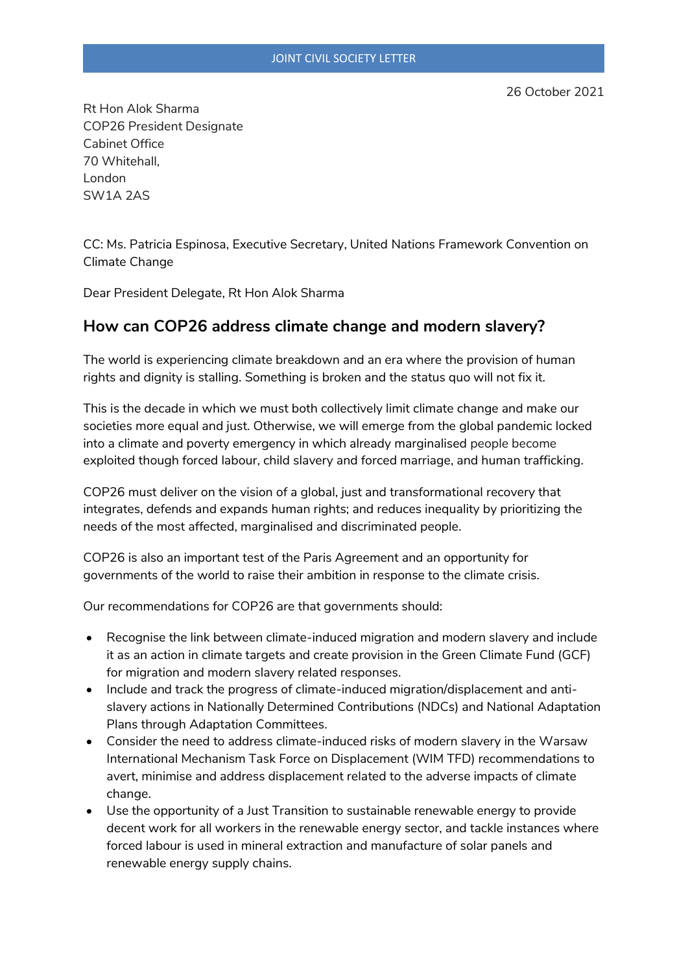Rt Hon Alok Sharma COP26 President Designate Cabinet Office 70 Whitehall, London SW1A 2AS

CC: Ms. Patricia Espinosa, Executive Secretary, United Nations Framework Convention on Climate Change

Dear President Delegate, Rt Hon Alok Sharma

## **How can COP26 address climate change and modern slavery?**

The world is experiencing climate breakdown and an era where the provision of human rights and dignity is stalling. Something is broken and the status quo will not fix it.

This is the decade in which we must both collectively limit climate change and make our societies more equal and just. Otherwise, we will emerge from the global pandemic locked into a climate and poverty emergency in which already marginalised people become exploited though forced labour, child slavery and forced marriage, and human trafficking.

COP26 must deliver on the vision of a global, just and transformational recovery that integrates, defends and expands human rights; and reduces inequality by prioritizing the needs of the most affected, marginalised and discriminated people.

COP26 is also an important test of the Paris Agreement and an opportunity for governments of the world to raise their ambition in response to the climate crisis.

Our recommendations for COP26 are that governments should:

- Recognise the link between climate-induced migration and modern slavery and include it as an action in climate targets and create provision in the Green Climate Fund (GCF) for migration and modern slavery related responses.
- Include and track the progress of climate-induced migration/displacement and antislavery actions in Nationally Determined Contributions (NDCs) and National Adaptation Plans through Adaptation Committees.
- Consider the need to address climate-induced risks of modern slavery in the Warsaw International Mechanism Task Force on Displacement (WIM TFD) recommendations to avert, minimise and address displacement related to the adverse impacts of climate change.
- Use the opportunity of a Just Transition to sustainable renewable energy to provide decent work for all workers in the renewable energy sector, and tackle instances where forced labour is used in mineral extraction and manufacture of solar panels and renewable energy supply chains.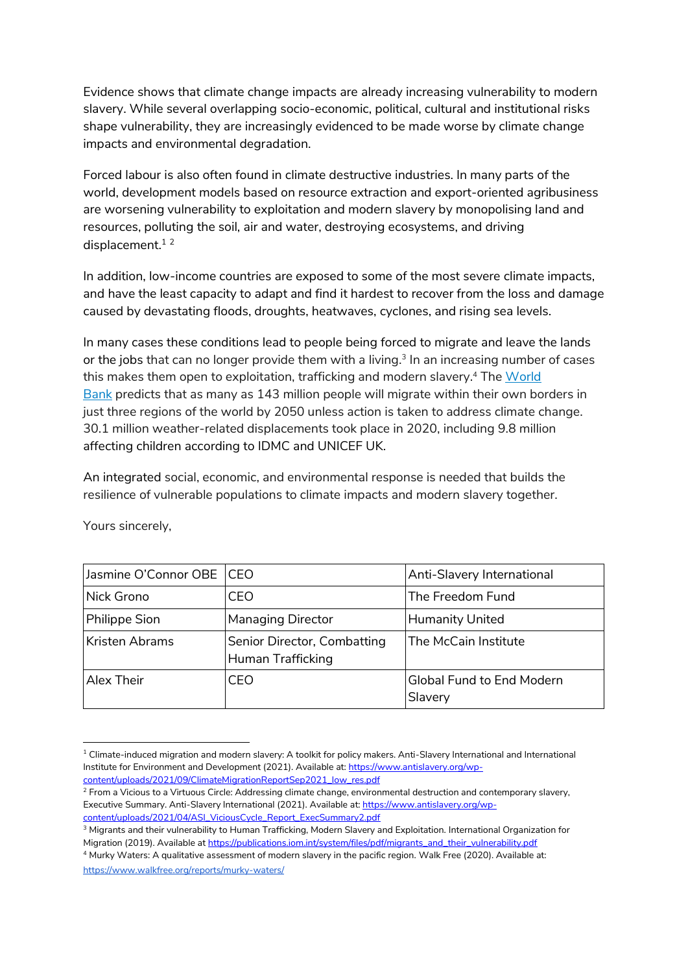Evidence shows that climate change impacts are already increasing vulnerability to modern slavery. While several overlapping socio-economic, political, cultural and institutional risks shape vulnerability, they are increasingly evidenced to be made worse by climate change impacts and environmental degradation.

Forced labour is also often found in climate destructive industries. In many parts of the world, development models based on resource extraction and export-oriented agribusiness are worsening vulnerability to exploitation and modern slavery by monopolising land and resources, polluting the soil, air and water, destroying ecosystems, and driving displacement.<sup>12</sup>

In addition, low-income countries are exposed to some of the most severe climate impacts, and have the least capacity to adapt and find it hardest to recover from the loss and damage caused by devastating floods, droughts, heatwaves, cyclones, and rising sea levels.

In many cases these conditions lead to people being forced to migrate and leave the lands or the jobs that can no longer provide them with a living. 3 In an increasing number of cases this makes them open to exploitation, trafficking and modern slavery.<sup>4</sup> The <u>World</u> [Bank](https://www.worldbank.org/en/news/infographic/2018/03/19/groundswell---preparing-for-internal-climate-migration) predicts that as many as 143 million people will migrate within their own borders in just three regions of the world by 2050 unless action is taken to address climate change. 30.1 million weather-related displacements took place in 2020, including 9.8 million affecting children according to IDMC and UNICEF UK.

An integrated social, economic, and environmental response is needed that builds the resilience of vulnerable populations to climate impacts and modern slavery together.

| Jasmine O'Connor OBE   CEO |                                                  | Anti-Slavery International                  |
|----------------------------|--------------------------------------------------|---------------------------------------------|
| Nick Grono                 | CFO                                              | The Freedom Fund                            |
| Philippe Sion              | <b>Managing Director</b>                         | <b>Humanity United</b>                      |
| Kristen Abrams             | Senior Director, Combatting<br>Human Trafficking | The McCain Institute                        |
| Alex Their                 | CFO                                              | <b>Global Fund to End Modern</b><br>Slavery |

Yours sincerely,

 $1$  Climate-induced migration and modern slavery: A toolkit for policy makers. Anti-Slavery International and International Institute for Environment and Development (2021). Available at[: https://www.antislavery.org/wp](https://www.antislavery.org/wp-content/uploads/2021/09/ClimateMigrationReportSep2021_low_res.pdf)[content/uploads/2021/09/ClimateMigrationReportSep2021\\_low\\_res.pdf](https://www.antislavery.org/wp-content/uploads/2021/09/ClimateMigrationReportSep2021_low_res.pdf)

<sup>&</sup>lt;sup>2</sup> From a Vicious to a Virtuous Circle: Addressing climate change, environmental destruction and contemporary slavery, Executive Summary. Anti-Slavery International (2021). Available at: [https://www.antislavery.org/wp](https://www.antislavery.org/wp-content/uploads/2021/04/ASI_ViciousCycle_Report_ExecSummary2.pdf)[content/uploads/2021/04/ASI\\_ViciousCycle\\_Report\\_ExecSummary2.pdf](https://www.antislavery.org/wp-content/uploads/2021/04/ASI_ViciousCycle_Report_ExecSummary2.pdf)

<sup>3</sup> Migrants and their vulnerability to Human Trafficking, Modern Slavery and Exploitation. International Organization for Migration (2019). Available a[t https://publications.iom.int/system/files/pdf/migrants\\_and\\_their\\_vulnerability.pdf](https://publications.iom.int/system/files/pdf/migrants_and_their_vulnerability.pdf)

<sup>4</sup> Murky Waters: A qualitative assessment of modern slavery in the pacific region. Walk Free (2020). Available at: <https://www.walkfree.org/reports/murky-waters/>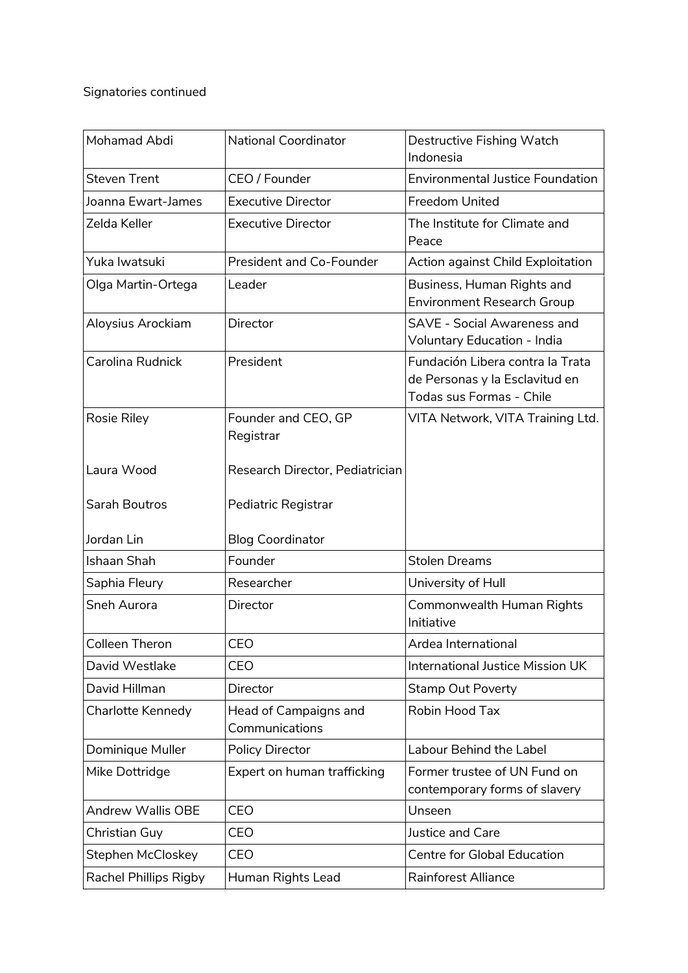## Signatories continued

| Mohamad Abdi          | National Coordinator                    | Destructive Fishing Watch<br>Indonesia                                                         |
|-----------------------|-----------------------------------------|------------------------------------------------------------------------------------------------|
| <b>Steven Trent</b>   | CEO / Founder                           | <b>Environmental Justice Foundation</b>                                                        |
| Joanna Ewart-James    | <b>Executive Director</b>               | <b>Freedom United</b>                                                                          |
| Zelda Keller          | <b>Executive Director</b>               | The Institute for Climate and<br>Peace                                                         |
| Yuka lwatsuki         | President and Co-Founder                | Action against Child Exploitation                                                              |
| Olga Martin-Ortega    | Leader                                  | Business, Human Rights and<br><b>Environment Research Group</b>                                |
| Aloysius Arockiam     | Director                                | <b>SAVE - Social Awareness and</b><br>Voluntary Education - India                              |
| Carolina Rudnick      | President                               | Fundación Libera contra la Trata<br>de Personas y la Esclavitud en<br>Todas sus Formas - Chile |
| Rosie Riley           | Founder and CEO, GP<br>Registrar        | VITA Network, VITA Training Ltd.                                                               |
| Laura Wood            | Research Director, Pediatrician         |                                                                                                |
| Sarah Boutros         | Pediatric Registrar                     |                                                                                                |
| Jordan Lin            | <b>Blog Coordinator</b>                 |                                                                                                |
| Ishaan Shah           | Founder                                 | <b>Stolen Dreams</b>                                                                           |
| Saphia Fleury         | Researcher                              | University of Hull                                                                             |
| <b>Sneh Aurora</b>    | Director                                | Commonwealth Human Rights<br>Initiative                                                        |
| Colleen Theron        | CFO                                     | Ardea International                                                                            |
| David Westlake        | CEO                                     | International Justice Mission UK                                                               |
| David Hillman         | Director                                | <b>Stamp Out Poverty</b>                                                                       |
| Charlotte Kennedy     | Head of Campaigns and<br>Communications | Robin Hood Tax                                                                                 |
| Dominique Muller      | <b>Policy Director</b>                  | Labour Behind the Label                                                                        |
| Mike Dottridge        | Expert on human trafficking             | Former trustee of UN Fund on<br>contemporary forms of slavery                                  |
| Andrew Wallis OBE     | CEO                                     | Unseen                                                                                         |
| Christian Guy         | CEO                                     | Justice and Care                                                                               |
| Stephen McCloskey     | CEO                                     | Centre for Global Education                                                                    |
| Rachel Phillips Rigby | Human Rights Lead                       | <b>Rainforest Alliance</b>                                                                     |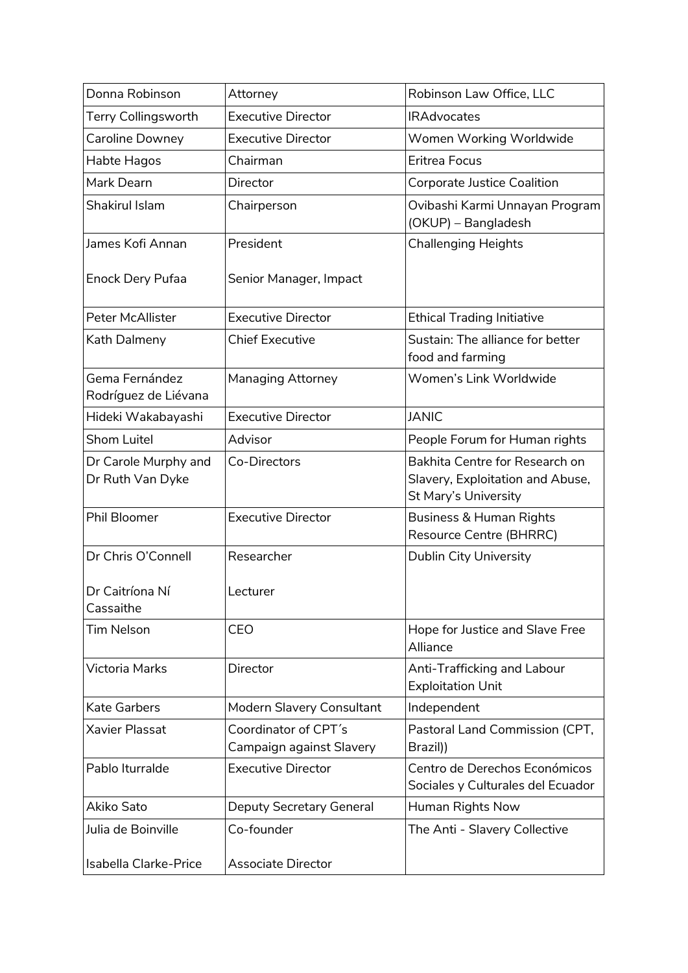| Donna Robinson                           | Attorney                                         | Robinson Law Office, LLC                                                                   |
|------------------------------------------|--------------------------------------------------|--------------------------------------------------------------------------------------------|
| <b>Terry Collingsworth</b>               | <b>Executive Director</b>                        | <b>IRAdvocates</b>                                                                         |
| Caroline Downey                          | <b>Executive Director</b>                        | Women Working Worldwide                                                                    |
| Habte Hagos                              | Chairman                                         | Eritrea Focus                                                                              |
| Mark Dearn                               | Director                                         | Corporate Justice Coalition                                                                |
| <b>Shakirul Islam</b>                    | Chairperson                                      | Ovibashi Karmi Unnayan Program<br>(OKUP) - Bangladesh                                      |
| James Kofi Annan                         | President                                        | <b>Challenging Heights</b>                                                                 |
| Enock Dery Pufaa                         | Senior Manager, Impact                           |                                                                                            |
| Peter McAllister                         | <b>Executive Director</b>                        | <b>Ethical Trading Initiative</b>                                                          |
| Kath Dalmeny                             | <b>Chief Executive</b>                           | Sustain: The alliance for better<br>food and farming                                       |
| Gema Fernández<br>Rodríguez de Liévana   | Managing Attorney                                | Women's Link Worldwide                                                                     |
| Hideki Wakabayashi                       | <b>Executive Director</b>                        | <b>JANIC</b>                                                                               |
| Shom Luitel                              | Advisor                                          | People Forum for Human rights                                                              |
| Dr Carole Murphy and<br>Dr Ruth Van Dyke | Co-Directors                                     | Bakhita Centre for Research on<br>Slavery, Exploitation and Abuse,<br>St Mary's University |
| Phil Bloomer                             | <b>Executive Director</b>                        | Business & Human Rights<br><b>Resource Centre (BHRRC)</b>                                  |
| Dr Chris O'Connell                       | Researcher                                       | Dublin City University                                                                     |
| Dr Caitríona Ní<br>Cassaithe             | Lecturer                                         |                                                                                            |
| <b>Tim Nelson</b>                        | CEO                                              | Hope for Justice and Slave Free<br>Alliance                                                |
| <b>Victoria Marks</b>                    | Director                                         | Anti-Trafficking and Labour<br><b>Exploitation Unit</b>                                    |
| <b>Kate Garbers</b>                      | Modern Slavery Consultant                        | Independent                                                                                |
| <b>Xavier Plassat</b>                    | Coordinator of CPT's<br>Campaign against Slavery | Pastoral Land Commission (CPT,<br>Brazil))                                                 |
| Pablo Iturralde                          | <b>Executive Director</b>                        | Centro de Derechos Económicos<br>Sociales y Culturales del Ecuador                         |
| Akiko Sato                               | Deputy Secretary General                         | Human Rights Now                                                                           |
| Julia de Boinville                       | Co-founder                                       | The Anti - Slavery Collective                                                              |
| Isabella Clarke-Price                    | <b>Associate Director</b>                        |                                                                                            |